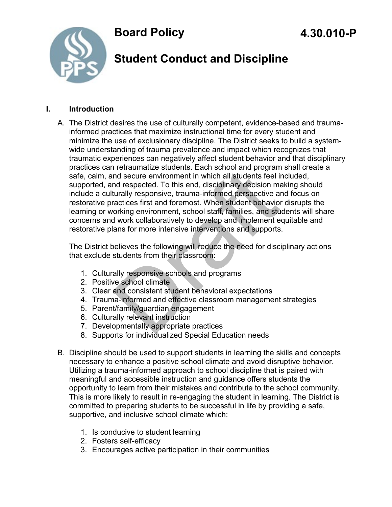

# **Student Conduct and Discipline**

#### **I. Introduction**

A. The District desires the use of culturally competent, evidence-based and traumainformed practices that maximize instructional time for every student and minimize the use of exclusionary discipline. The District seeks to build a systemwide understanding of trauma prevalence and impact which recognizes that traumatic experiences can negatively affect student behavior and that disciplinary practices can retraumatize students. Each school and program shall create a safe, calm, and secure environment in which all students feel included, supported, and respected. To this end, disciplinary decision making should include a culturally responsive, trauma-informed perspective and focus on restorative practices first and foremost. When student behavior disrupts the learning or working environment, school staff, families, and students will share concerns and work collaboratively to develop and implement equitable and restorative plans for more intensive interventions and supports. Tetraumatize students. Each school and program<br>and secure environment in which all students feel in<br>a respected. To this end, disciplinary decision ma<br>turally responsive, trauma-informed perspective an<br>actices first and fo

The District believes the following will reduce the need for disciplinary actions that exclude students from their classroom:

- 1. Culturally responsive schools and programs
- 2. Positive school climate
- 3. Clear and consistent student behavioral expectations
- 4. Trauma-informed and effective classroom management strategies
- 5. Parent/family/guardian engagement
- 6. Culturally relevant instruction
- 7. Developmentally appropriate practices
- 8. Supports for individualized Special Education needs
- B. Discipline should be used to support students in learning the skills and concepts necessary to enhance a positive school climate and avoid disruptive behavior. Utilizing a trauma-informed approach to school discipline that is paired with meaningful and accessible instruction and guidance offers students the opportunity to learn from their mistakes and contribute to the school community. This is more likely to result in re-engaging the student in learning. The District is committed to preparing students to be successful in life by providing a safe, supportive, and inclusive school climate which:
	- 1. Is conducive to student learning
	- 2. Fosters self-efficacy
	- 3. Encourages active participation in their communities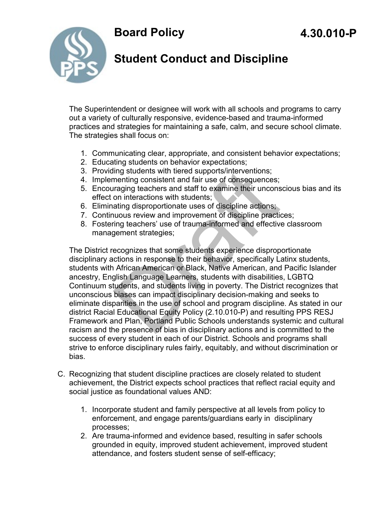

## **Student Conduct and Discipline**

The Superintendent or designee will work with all schools and programs to carry out a variety of culturally responsive, evidence-based and trauma-informed practices and strategies for maintaining a safe, calm, and secure school climate. The strategies shall focus on:

- 1. Communicating clear, appropriate, and consistent behavior expectations;
- 2. Educating students on behavior expectations;
- 3. Providing students with tiered supports/interventions;
- 4. Implementing consistent and fair use of consequences;
- 5. Encouraging teachers and staff to examine their unconscious bias and its effect on interactions with students;
- 6. Eliminating disproportionate uses of discipline actions;
- 7. Continuous review and improvement of discipline practices;
- 8. Fostering teachers' use of trauma-informed and effective classroom management strategies;

The District recognizes that some students experience disproportionate disciplinary actions in response to their behavior, specifically Latinx students, students with African American or Black, Native American, and Pacific Islander ancestry, English Language Learners, students with disabilities, LGBTQ Continuum students, and students living in poverty. The District recognizes that unconscious biases can impact disciplinary decision-making and seeks to eliminate disparities in the use of school and program discipline. As stated in our district Racial Educational Equity Policy (2.10.010-P) and resulting PPS RESJ Framework and Plan, Portland Public Schools understands systemic and cultural racism and the presence of bias in disciplinary actions and is committed to the success of every student in each of our District. Schools and programs shall strive to enforce disciplinary rules fairly, equitably, and without discrimination or bias. ling students with tiered supports/interventions;<br>menting consistent and fair use of consequences;<br>rraging teachers and staff to examine their uncons<br>on interactions with students;<br>ating disproportionate uses of discipline

- C. Recognizing that student discipline practices are closely related to student achievement, the District expects school practices that reflect racial equity and social justice as foundational values AND:
	- 1. Incorporate student and family perspective at all levels from policy to enforcement, and engage parents/guardians early in disciplinary processes;
	- 2. Are trauma-informed and evidence based, resulting in safer schools grounded in equity, improved student achievement, improved student attendance, and fosters student sense of self-efficacy;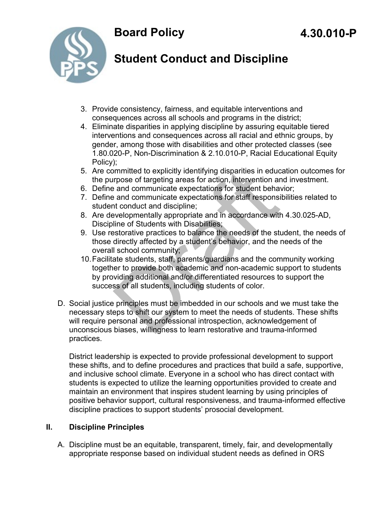



## **Student Conduct and Discipline**

- 3. Provide consistency, fairness, and equitable interventions and consequences across all schools and programs in the district;
- 4. Eliminate disparities in applying discipline by assuring equitable tiered interventions and consequences across all racial and ethnic groups, by gender, among those with disabilities and other protected classes (see 1.80.020-P, Non-Discrimination & 2.10.010-P, Racial Educational Equity Policy);
- 5. Are committed to explicitly identifying disparities in education outcomes for the purpose of targeting areas for action, intervention and investment.
- 6. Define and communicate expectations for student behavior;
- 7. Define and communicate expectations for staff responsibilities related to student conduct and discipline;
- 8. Are developmentally appropriate and in accordance with 4.30.025-AD, Discipline of Students with Disabilities;
- 9. Use restorative practices to balance the needs of the student, the needs of those directly affected by a student's behavior, and the needs of the overall school community;
- 10.Facilitate students, staff, parents/guardians and the community working together to provide both academic and non-academic support to students by providing additional and/or differentiated resources to support the success of all students, including students of color. mmitted to explicitly identifying disparities in educryose of targeting areas for action, intervention are and communicate expectations for student behave and communicate expectations for staff responsition and communicate
- D. Social justice principles must be imbedded in our schools and we must take the necessary steps to shift our system to meet the needs of students. These shifts will require personal and professional introspection, acknowledgement of unconscious biases, willingness to learn restorative and trauma-informed practices.

District leadership is expected to provide professional development to support these shifts, and to define procedures and practices that build a safe, supportive, and inclusive school climate. Everyone in a school who has direct contact with students is expected to utilize the learning opportunities provided to create and maintain an environment that inspires student learning by using principles of positive behavior support, cultural responsiveness, and trauma-informed effective discipline practices to support students' prosocial development.

### **II. Discipline Principles**

A. Discipline must be an equitable, transparent, timely, fair, and developmentally appropriate response based on individual student needs as defined in ORS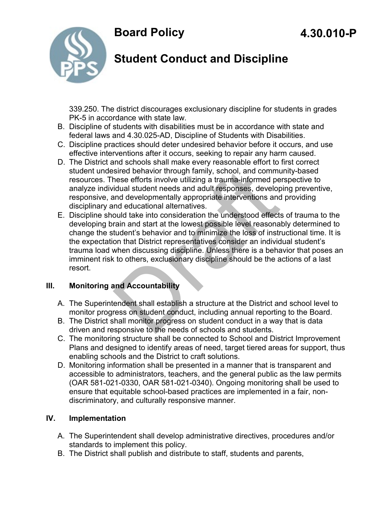

# **Student Conduct and Discipline**

339.250. The district discourages exclusionary discipline for students in grades PK-5 in accordance with state law.

- B. Discipline of students with disabilities must be in accordance with state and federal laws and 4.30.025-AD, Discipline of Students with Disabilities.
- C. Discipline practices should deter undesired behavior before it occurs, and use effective interventions after it occurs, seeking to repair any harm caused.
- D. The District and schools shall make every reasonable effort to first correct student undesired behavior through family, school, and community-based resources. These efforts involve utilizing a trauma-informed perspective to analyze individual student needs and adult responses, developing preventive, responsive, and developmentally appropriate interventions and providing disciplinary and educational alternatives.
- E. Discipline should take into consideration the understood effects of trauma to the developing brain and start at the lowest possible level reasonably determined to change the student's behavior and to minimize the loss of instructional time. It is the expectation that District representatives consider an individual student's trauma load when discussing discipline. Unless there is a behavior that poses an imminent risk to others, exclusionary discipline should be the actions of a last resort. sired behavior through family, school, and communiese efforts involve utilizing a trauma-informed periodual student needs and adult responses, development developmentally appropriate interventions and educational alternati

#### **III. Monitoring and Accountability**

- A. The Superintendent shall establish a structure at the District and school level to monitor progress on student conduct, including annual reporting to the Board.
- B. The District shall monitor progress on student conduct in a way that is data driven and responsive to the needs of schools and students.
- C. The monitoring structure shall be connected to School and District Improvement Plans and designed to identify areas of need, target tiered areas for support, thus enabling schools and the District to craft solutions.
- D. Monitoring information shall be presented in a manner that is transparent and accessible to administrators, teachers, and the general public as the law permits (OAR 581-021-0330, OAR 581-021-0340). Ongoing monitoring shall be used to ensure that equitable school-based practices are implemented in a fair, nondiscriminatory, and culturally responsive manner.

#### **IV. Implementation**

- A. The Superintendent shall develop administrative directives, procedures and/or standards to implement this policy.
- B. The District shall publish and distribute to staff, students and parents,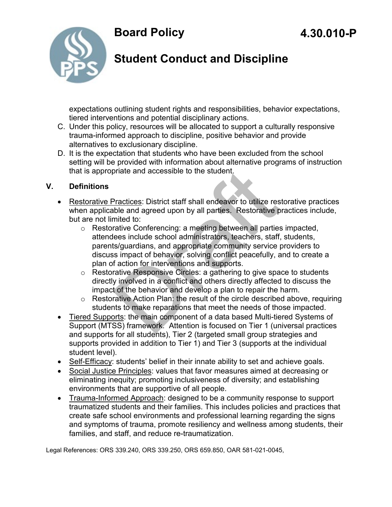

## **Student Conduct and Discipline**

expectations outlining student rights and responsibilities, behavior expectations, tiered interventions and potential disciplinary actions.

- C. Under this policy, resources will be allocated to support a culturally responsive trauma-informed approach to discipline, positive behavior and provide alternatives to exclusionary discipline.
- D. It is the expectation that students who have been excluded from the school setting will be provided with information about alternative programs of instruction that is appropriate and accessible to the student.

#### **V. Definitions**

- Restorative Practices: District staff shall endeavor to utilize restorative practices when applicable and agreed upon by all parties. Restorative practices include, but are not limited to:
- o Restorative Conferencing: a meeting between all parties impacted, attendees include school administrators, teachers, staff, students, parents/guardians, and appropriate community service providers to discuss impact of behavior, solving conflict peacefully, and to create a plan of action for interventions and supports. priate and accessible to the student.<br>
Practices: District staff shall endeavor to utilize res<br>
ble and agreed upon by all parties. Restorative p<br>
mited to:<br>
crative Conferencing: a meeting between all parties<br>
lees includ
	- o Restorative Responsive Circles: a gathering to give space to students directly involved in a conflict and others directly affected to discuss the impact of the behavior and develop a plan to repair the harm.
	- o Restorative Action Plan: the result of the circle described above, requiring students to make reparations that meet the needs of those impacted.
- Tiered Supports: the main component of a data based Multi-tiered Systems of Support (MTSS) framework. Attention is focused on Tier 1 (universal practices and supports for all students), Tier 2 (targeted small group strategies and supports provided in addition to Tier 1) and Tier 3 (supports at the individual student level).
- Self-Efficacy: students' belief in their innate ability to set and achieve goals.
- Social Justice Principles: values that favor measures aimed at decreasing or eliminating inequity; promoting inclusiveness of diversity; and establishing environments that are supportive of all people.
- Trauma-Informed Approach: designed to be a community response to support traumatized students and their families. This includes policies and practices that create safe school environments and professional learning regarding the signs and symptoms of trauma, promote resiliency and wellness among students, their families, and staff, and reduce re-traumatization.

Legal References: ORS 339.240, ORS 339.250, ORS 659.850, OAR 581-021-0045,